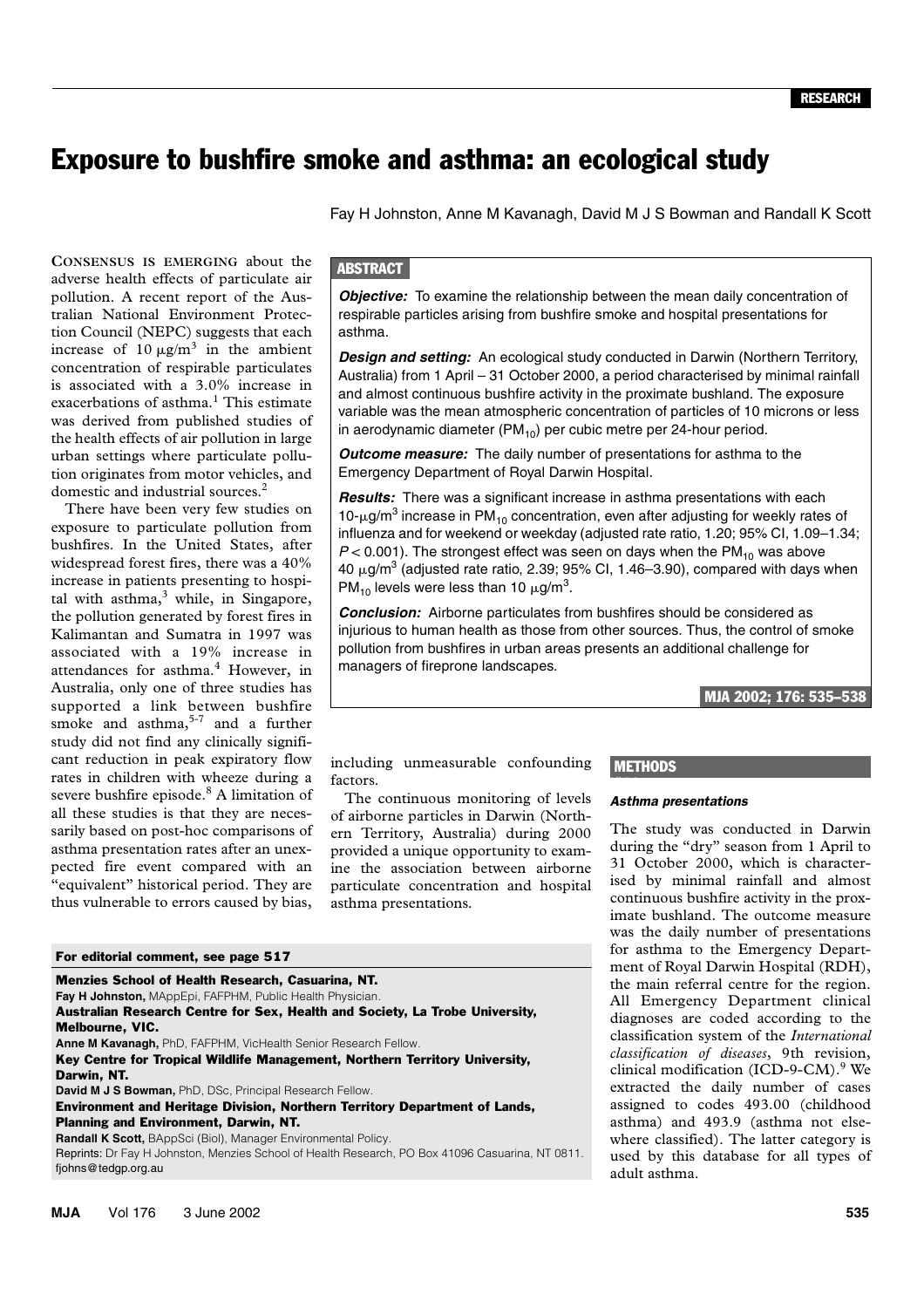# Exposure to bushfire smoke and asthma: an ecological study

Fay H Johnston, Anne M Kavanagh, David M J S Bowman and Randall K Scott

The Medical Journal of Australia Islamical ISSN: The Australia ISSN: The Australia Islamical ISSN: The Council (NEPC) suggests that each increase of  $10 \mu g/m^3$  in the ambient  $\frac{1}{\sqrt{2}}$  of  $\frac{1}{\sqrt{2}}$  and  $\frac{1}{\sqrt{2}}$ concentration of respirable particulates is associated with a 3.0% increase in **CONSENSUS IS EMERGING** about the adverse health effects of particulate air pollution. A recent report of the Australian National Environment Protecexacerbations of asthma.<sup>1</sup> This estimate was derived from published studies of the health effects of air pollution in large urban settings where particulate pollution originates from motor vehicles, and domestic and industrial sources.2

There have been very few studies on exposure to particulate pollution from bushfires. In the United States, after widespread forest fires, there was a 40% increase in patients presenting to hospital with asthma, $3$  while, in Singapore, the pollution generated by forest fires in Kalimantan and Sumatra in 1997 was associated with a 19% increase in attendances for asthma.<sup>4</sup> However, in Australia, only one of three studies has supported a link between bushfire smoke and asthma, $5-7$  and a further study did not find any clinically significant reduction in peak expiratory flow rates in children with wheeze during a severe bushfire episode.<sup>8</sup> A limitation of all these studies is that they are necessarily based on post-hoc comparisons of asthma presentation rates after an unexpected fire event compared with an "equivalent" historical period. They are thus vulnerable to errors caused by bias,

#### For editorial comment, see page 517

| Menzies School of Health Research, Casuarina, NT.                                                                       |
|-------------------------------------------------------------------------------------------------------------------------|
| Fay H Johnston, MAppEpi, FAFPHM, Public Health Physician.                                                               |
| Australian Research Centre for Sex, Health and Society, La Trobe University,                                            |
| <b>Melbourne, VIC.</b>                                                                                                  |
| <b>Anne M Kavanagh, PhD, FAFPHM, VicHealth Senior Research Fellow.</b>                                                  |
| Key Centre for Tropical Wildlife Management, Northern Territory University,                                             |
| Darwin, NT.                                                                                                             |
| <b>David M J S Bowman, PhD, DSc, Principal Research Fellow.</b>                                                         |
| <b>Environment and Heritage Division, Northern Territory Department of Lands,</b>                                       |
| <b>Planning and Environment, Darwin, NT.</b>                                                                            |
| <b>Randall K Scott, BAppSci (Biol), Manager Environmental Policy.</b>                                                   |
| Reprints: Dr Fay H Johnston, Menzies School of Health Research, PO Box 41096 Casuarina, NT 0811.<br>fjohns@tedgp.org.au |
|                                                                                                                         |

# **ABSTRACT**

**Objective:** To examine the relationship between the mean daily concentration of respirable particles arising from bushfire smoke and hospital presentations for asthma.

*Design and setting:* An ecological study conducted in Darwin (Northern Territory, Australia) from 1 April – 31 October 2000, a period characterised by minimal rainfall and almost continuous bushfire activity in the proximate bushland. The exposure variable was the mean atmospheric concentration of particles of 10 microns or less in aerodynamic diameter  $(PM_{10})$  per cubic metre per 24-hour period.

*Outcome measure:* The daily number of presentations for asthma to the Emergency Department of Royal Darwin Hospital.

*Results:* There was a significant increase in asthma presentations with each 10- $\mu$ g/m<sup>3</sup> increase in PM<sub>10</sub> concentration, even after adjusting for weekly rates of influenza and for weekend or weekday (adjusted rate ratio, 1.20; 95% CI, 1.09–1.34;  $P < 0.001$ ). The strongest effect was seen on days when the PM<sub>10</sub> was above 40  $\mu$ g/m<sup>3</sup> (adjusted rate ratio, 2.39; 95% CI, 1.46–3.90), compared with days when PM<sub>10</sub> levels were less than 10  $\mu$ g/m<sup>3</sup>.

*Conclusion:* Airborne particulates from bushfires should be considered as injurious to human health as those from other sources. Thus, the control of smoke pollution from bushfires in urban areas presents an additional challenge for managers of fireprone landscapes.

MJA 2002; 176: 535–538

## including unmeasurable confounding factors.

The continuous monitoring of levels of airborne particles in Darwin (Northern Territory, Australia) during 2000 provided a unique opportunity to examine the association between airborne particulate concentration and hospital asthma presentations.

# **METHODS**

#### *Asthma presentations*

The study was conducted in Darwin during the "dry" season from 1 April to 31 October 2000, which is characterised by minimal rainfall and almost continuous bushfire activity in the proximate bushland. The outcome measure was the daily number of presentations for asthma to the Emergency Department of Royal Darwin Hospital (RDH), the main referral centre for the region. All Emergency Department clinical diagnoses are coded according to the classification system of the *International classification of diseases*, 9th revision, clinical modification (ICD-9-CM).<sup>9</sup> We extracted the daily number of cases assigned to codes 493.00 (childhood asthma) and 493.9 (asthma not elsewhere classified). The latter category is used by this database for all types of adult asthma.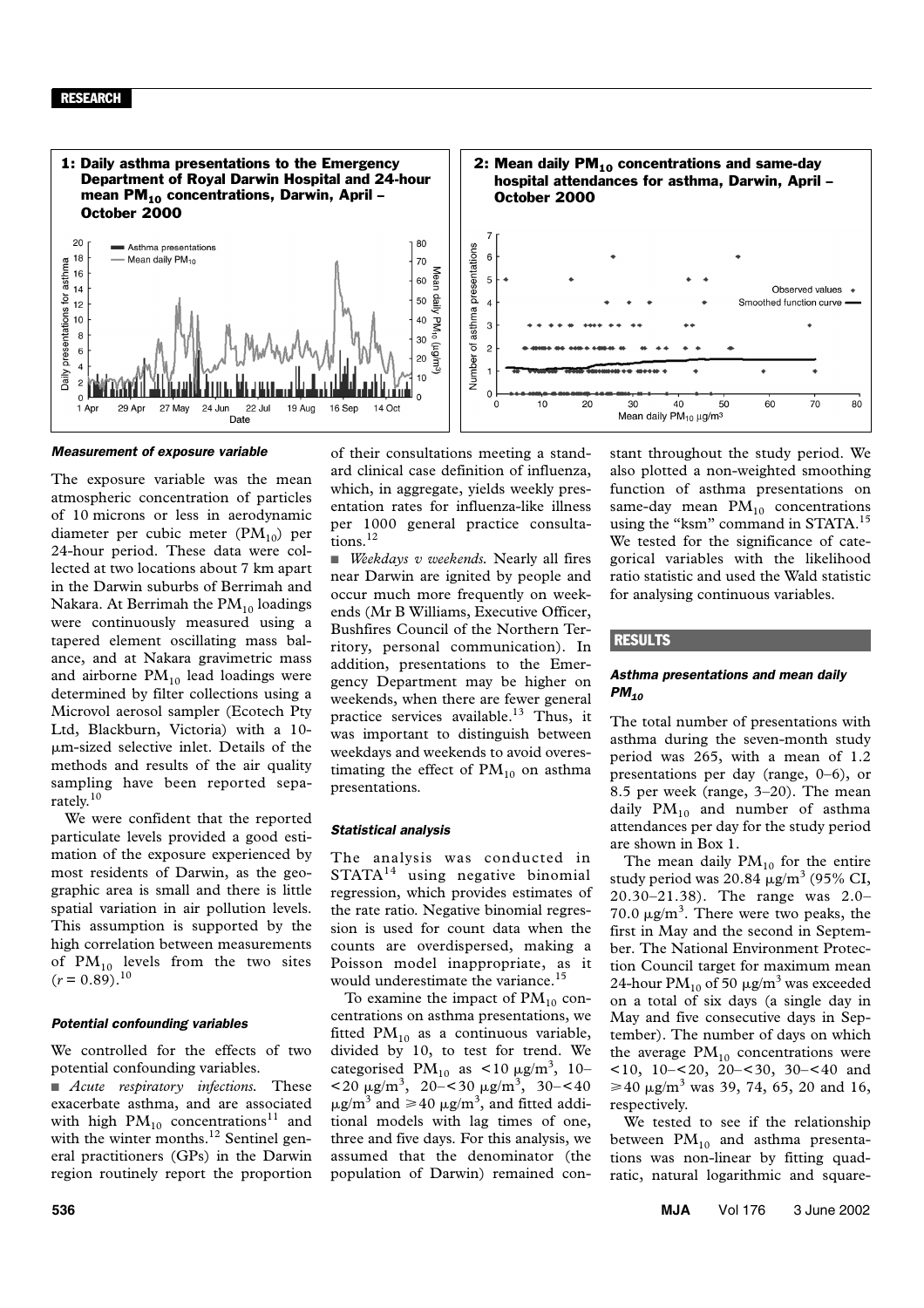#### RESEARCH



#### *Measurement of exposure variable*

The exposure variable was the mean atmospheric concentration of particles of 10 microns or less in aerodynamic diameter per cubic meter  $(PM_{10})$  per 24-hour period. These data were collected at two locations about 7 km apart in the Darwin suburbs of Berrimah and Nakara. At Berrimah the  $PM_{10}$  loadings were continuously measured using a tapered element oscillating mass balance, and at Nakara gravimetric mass and airborne  $PM_{10}$  lead loadings were determined by filter collections using a Microvol aerosol sampler (Ecotech Pty Ltd, Blackburn, Victoria) with a 10 m-sized selective inlet. Details of the methods and results of the air quality sampling have been reported separately.<sup>10</sup>

We were confident that the reported particulate levels provided a good estimation of the exposure experienced by most residents of Darwin, as the geographic area is small and there is little spatial variation in air pollution levels. This assumption is supported by the high correlation between measurements of  $PM_{10}$  levels from the two sites  $(r = 0.89)^{10}$ 

#### *Potential confounding variables*

We controlled for the effects of two potential confounding variables.

■ *Acute respiratory infections*. These exacerbate asthma, and are associated with high  $PM_{10}$  concentrations<sup>11</sup> and with the winter months.<sup>12</sup> Sentinel general practitioners (GPs) in the Darwin region routinely report the proportion of their consultations meeting a standard clinical case definition of influenza, which, in aggregate, yields weekly presentation rates for influenza-like illness per 1000 general practice consultations.12

■ *Weekdays v weekends*. Nearly all fires near Darwin are ignited by people and occur much more frequently on weekends (Mr B Williams, Executive Officer, Bushfires Council of the Northern Territory, personal communication). In addition, presentations to the Emergency Department may be higher on weekends, when there are fewer general practice services available.<sup>13</sup> Thus, it was important to distinguish between weekdays and weekends to avoid overestimating the effect of  $PM_{10}$  on asthma presentations.

#### *Statistical analysis*

The analysis was conducted in STATA<sup>14</sup> using negative binomial regression, which provides estimates of the rate ratio. Negative binomial regression is used for count data when the counts are overdispersed, making a Poisson model inappropriate, as it would underestimate the variance.<sup>15</sup>

To examine the impact of  $PM_{10}$  concentrations on asthma presentations, we fitted  $PM_{10}$  as a continuous variable, divided by 10, to test for trend. We categorised  $PM_{10}$  as <10  $\mu$ g/m<sup>3</sup>, 10- $\langle 20 \mu g/m^3, 20 - \langle 30 \mu g/m^3, 30 - \langle 40 \rangle$  $\mu$ g/m<sup>3</sup> and  $\geq 40 \mu$ g/m<sup>3</sup>, and fitted additional models with lag times of one, three and five days. For this analysis, we assumed that the denominator (the population of Darwin) remained constant throughout the study period. We also plotted a non-weighted smoothing function of asthma presentations on same-day mean  $PM_{10}$  concentrations using the "ksm" command in STATA.<sup>15</sup> We tested for the significance of categorical variables with the likelihood ratio statistic and used the Wald statistic for analysing continuous variables.

 $70$ 

80

## RESULTS

## *Asthma presentations and mean daily PM10*

The total number of presentations with asthma during the seven-month study period was 265, with a mean of 1.2 presentations per day (range, 0–6), or 8.5 per week (range, 3–20). The mean daily  $PM_{10}$  and number of asthma attendances per day for the study period are shown in Box 1.

The mean daily  $PM_{10}$  for the entire study period was 20.84  $\mu$ g/m<sup>3</sup> (95% CI, 20.30–21.38). The range was 2.0– 70.0  $\mu$ g/m<sup>3</sup>. There were two peaks, the first in May and the second in September. The National Environment Protection Council target for maximum mean 24-hour  $PM_{10}$  of 50  $\mu$ g/m<sup>3</sup> was exceeded on a total of six days (a single day in May and five consecutive days in September). The number of days on which the average  $PM_{10}$  concentrations were <10, 10–<20, 20–<30, 30–<40 and  $\geq 40 \text{ }\mu\text{g/m}^3 \text{ was } 39, 74, 65, 20 \text{ and } 16,$ respectively.

We tested to see if the relationship between  $PM_{10}$  and asthma presentations was non-linear by fitting quadratic, natural logarithmic and square-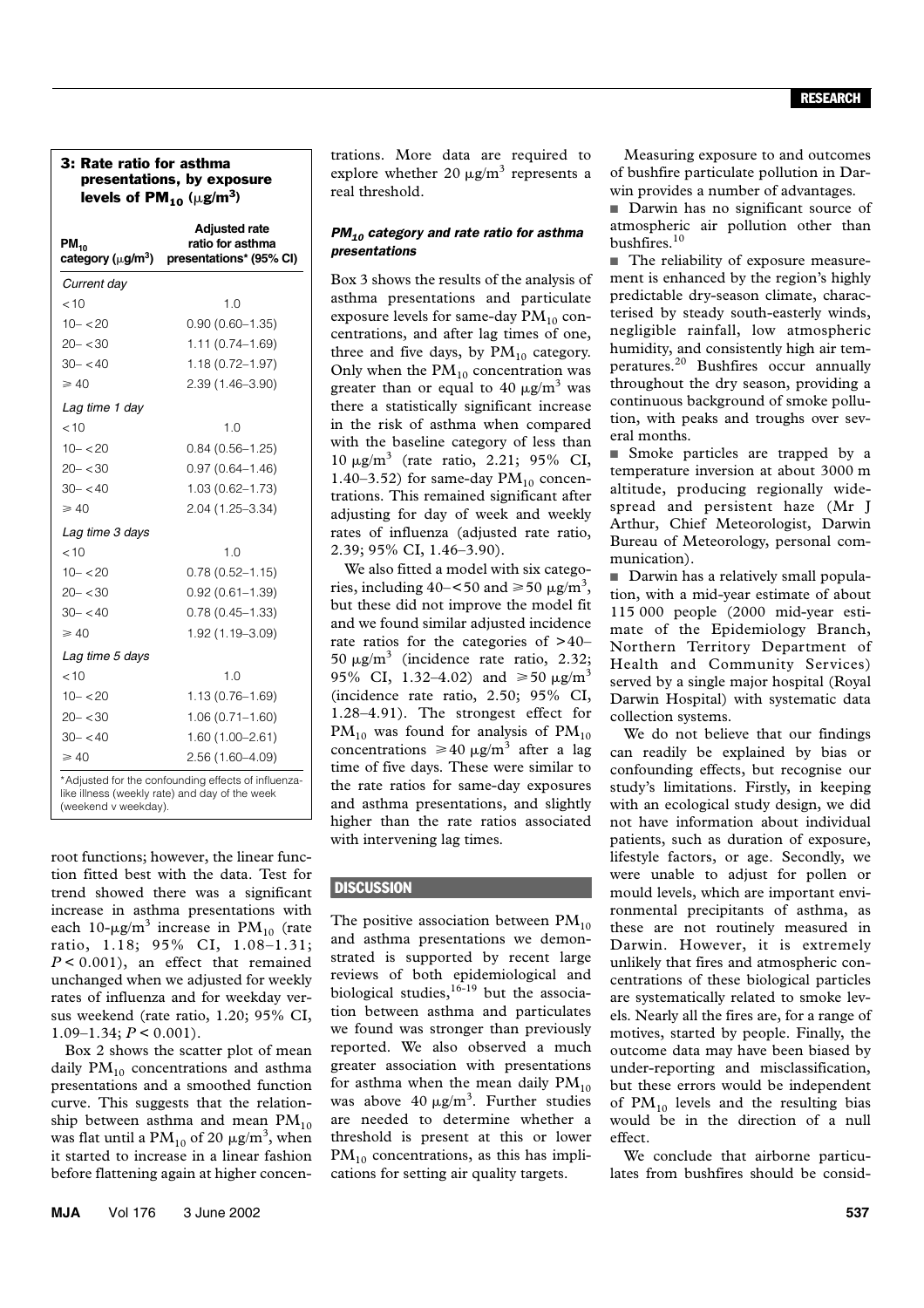#### 3: Rate ratio for asthma presentations, by exposure levels of  $PM_{10}$  ( $\mu$ g/m<sup>3</sup>)

| $PM_{10}$<br>category (µg/m <sup>3</sup> )                                                            | <b>Adjusted rate</b><br>ratio for asthma<br>presentations* (95% CI) |  |
|-------------------------------------------------------------------------------------------------------|---------------------------------------------------------------------|--|
| Current day                                                                                           |                                                                     |  |
| 10                                                                                                    | 1.0                                                                 |  |
| $10 - 20$                                                                                             | $0.90(0.60 - 1.35)$                                                 |  |
| $20 - 30$                                                                                             | 1.11 (0.74-1.69)                                                    |  |
| $30 - < 40$                                                                                           | $1.18(0.72 - 1.97)$                                                 |  |
| $\geqslant 40$                                                                                        | 2.39 (1.46-3.90)                                                    |  |
| Lag time 1 day                                                                                        |                                                                     |  |
| 10                                                                                                    | 1.0                                                                 |  |
| $10 - 20$                                                                                             | $0.84(0.56 - 1.25)$                                                 |  |
| $20 - < 30$                                                                                           | $0.97(0.64 - 1.46)$                                                 |  |
| $30 - 40$                                                                                             | 1.03 (0.62-1.73)                                                    |  |
| $\geqslant 40$                                                                                        | 2.04 (1.25-3.34)                                                    |  |
| Lag time 3 days                                                                                       |                                                                     |  |
| 10                                                                                                    | 1 በ                                                                 |  |
| $10 - 20$                                                                                             | $0.78(0.52 - 1.15)$                                                 |  |
| $20 - 30$                                                                                             | $0.92(0.61 - 1.39)$                                                 |  |
| $30 - 40$                                                                                             | $0.78(0.45 - 1.33)$                                                 |  |
| $\geqslant$ 40                                                                                        | 1.92 (1.19-3.09)                                                    |  |
| Lag time 5 days                                                                                       |                                                                     |  |
| < 10                                                                                                  | 1.0                                                                 |  |
| $10 - 20$                                                                                             | 1.13 (0.76-1.69)                                                    |  |
| $20 - < 30$                                                                                           | $1.06(0.71 - 1.60)$                                                 |  |
| $30 - < 40$                                                                                           | $1.60(1.00 - 2.61)$                                                 |  |
| $\geq 40$                                                                                             | 2.56 (1.60-4.09)                                                    |  |
| *Adjusted for the confounding effects of influenza-<br>like illness (weekly rate) and day of the week |                                                                     |  |

(weekend v weekday).

root functions; however, the linear function fitted best with the data. Test for trend showed there was a significant increase in asthma presentations with each 10- $\mu$ g/m<sup>3</sup> increase in PM<sub>10</sub> (rate ratio, 1.18; 95% CI, 1.08–1.31; *P* < 0.001), an effect that remained unchanged when we adjusted for weekly rates of influenza and for weekday versus weekend (rate ratio, 1.20; 95% CI,  $1.09-1.34$ ;  $P < 0.001$ ).

Box 2 shows the scatter plot of mean daily  $PM_{10}$  concentrations and asthma presentations and a smoothed function curve. This suggests that the relationship between asthma and mean  $PM_{10}$ was flat until a  $\text{PM}_{10}$  of 20  $\mu \text{g/m}^3$ , when it started to increase in a linear fashion before flattening again at higher concentrations. More data are required to explore whether 20  $\mu$ g/m<sup>3</sup> represents a real threshold.

#### *PM10 category and rate ratio for asthma presentations*

Box 3 shows the results of the analysis of asthma presentations and particulate exposure levels for same-day  $PM_{10}$  concentrations, and after lag times of one, three and five days, by  $PM_{10}$  category. Only when the  $PM_{10}$  concentration was greater than or equal to 40  $\mu$ g/m<sup>3</sup> was there a statistically significant increase in the risk of asthma when compared with the baseline category of less than  $10 \mu g/m^3$  (rate ratio, 2.21; 95% CI, 1.40–3.52) for same-day  $PM_{10}$  concentrations. This remained significant after adjusting for day of week and weekly rates of influenza (adjusted rate ratio, 2.39; 95% CI, 1.46–3.90).

We also fitted a model with six categories, including  $40 - 50$  and  $\ge 50 \mu g/m^3$ , but these did not improve the model fit and we found similar adjusted incidence rate ratios for the categories of >40– 50  $\mu$ g/m<sup>3</sup> (incidence rate ratio, 2.32; 95% CI, 1.32–4.02) and  $\geq 50 \text{ }\mu\text{g/m}^3$ (incidence rate ratio, 2.50; 95% CI, 1.28–4.91). The strongest effect for  $PM_{10}$  was found for analysis of  $PM_{10}$ concentrations  $\geq 40 \text{ }\mu\text{g/m}^3$  after a lag time of five days. These were similar to the rate ratios for same-day exposures and asthma presentations, and slightly higher than the rate ratios associated with intervening lag times.

## **DISCUSSION**

The positive association between  $PM_{10}$ and asthma presentations we demonstrated is supported by recent large reviews of both epidemiological and biological studies,  $16-19$  but the association between asthma and particulates we found was stronger than previously reported. We also observed a much greater association with presentations for asthma when the mean daily  $PM_{10}$ was above 40  $\mu$ g/m<sup>3</sup>. Further studies are needed to determine whether a threshold is present at this or lower  $PM_{10}$  concentrations, as this has implications for setting air quality targets.

Measuring exposure to and outcomes of bushfire particulate pollution in Darwin provides a number of advantages.

■ Darwin has no significant source of atmospheric air pollution other than bushfires.<sup>10</sup>

■ The reliability of exposure measurement is enhanced by the region's highly predictable dry-season climate, characterised by steady south-easterly winds, negligible rainfall, low atmospheric humidity, and consistently high air temperatures.20 Bushfires occur annually throughout the dry season, providing a continuous background of smoke pollution, with peaks and troughs over several months.

■ Smoke particles are trapped by a temperature inversion at about 3000 m altitude, producing regionally widespread and persistent haze (Mr J Arthur, Chief Meteorologist, Darwin Bureau of Meteorology, personal communication).

■ Darwin has a relatively small population, with a mid-year estimate of about 115 000 people (2000 mid-year estimate of the Epidemiology Branch, Northern Territory Department of Health and Community Services) served by a single major hospital (Royal Darwin Hospital) with systematic data collection systems.

We do not believe that our findings can readily be explained by bias or confounding effects, but recognise our study's limitations. Firstly, in keeping with an ecological study design, we did not have information about individual patients, such as duration of exposure, lifestyle factors, or age. Secondly, we were unable to adjust for pollen or mould levels, which are important environmental precipitants of asthma, as these are not routinely measured in Darwin. However, it is extremely unlikely that fires and atmospheric concentrations of these biological particles are systematically related to smoke levels. Nearly all the fires are, for a range of motives, started by people. Finally, the outcome data may have been biased by under-reporting and misclassification, but these errors would be independent of  $PM_{10}$  levels and the resulting bias would be in the direction of a null effect.

We conclude that airborne particulates from bushfires should be consid-